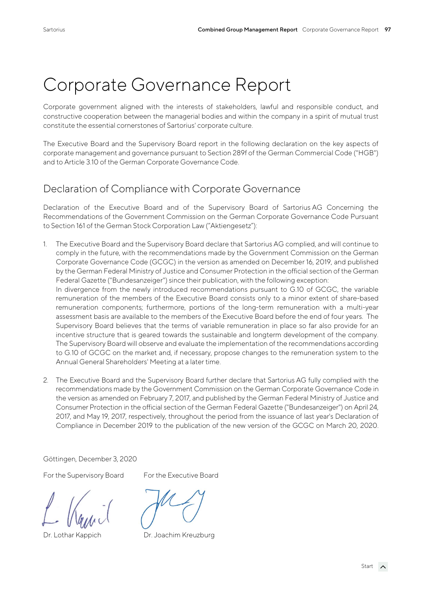# Corporate Governance Report

Corporate government aligned with the interests of stakeholders, lawful and responsible conduct, and constructive cooperation between the managerial bodies and within the company in a spirit of mutual trust constitute the essential cornerstones of Sartorius' corporate culture.

The Executive Board and the Supervisory Board report in the following declaration on the key aspects of corporate management and governance pursuant to Section 289f of the German Commercial Code ("HGB") and to Article 3.10 of the German Corporate Governance Code.

### Declaration of Compliance with Corporate Governance

Declaration of the Executive Board and of the Supervisory Board of Sartorius AG Concerning the Recommendations of the Government Commission on the German Corporate Governance Code Pursuant to Section 161 of the German Stock Corporation Law ("Aktiengesetz"):

- 1. The Executive Board and the Supervisory Board declare that Sartorius AG complied, and will continue to comply in the future, with the recommendations made by the Government Commission on the German Corporate Governance Code (GCGC) in the version as amended on December 16, 2019, and published by the German Federal Ministry of Justice and Consumer Protection in the official section of the German Federal Gazette ("Bundesanzeiger") since their publication, with the following exception: In divergence from the newly introduced recommendations pursuant to G.10 of GCGC, the variable remuneration of the members of the Executive Board consists only to a minor extent of share-based remuneration components; furthermore, portions of the long-term remuneration with a multi-year assessment basis are available to the members of the Executive Board before the end of four years. The Supervisory Board believes that the terms of variable remuneration in place so far also provide for an incentive structure that is geared towards the sustainable and longterm development of the company. The Supervisory Board will observe and evaluate the implementation of the recommendations according to G.10 of GCGC on the market and, if necessary, propose changes to the remuneration system to the Annual General Shareholders' Meeting at a later time.
- 2. The Executive Board and the Supervisory Board further declare that Sartorius AG fully complied with the recommendations made by the Government Commission on the German Corporate Governance Code in the version as amended on February 7, 2017, and published by the German Federal Ministry of Justice and Consumer Protection in the official section of the German Federal Gazette ("Bundesanzeiger") on April 24, 2017, and May 19, 2017, respectively, throughout the period from the issuance of last year's Declaration of Compliance in December 2019 to the publication of the new version of the GCGC on March 20, 2020.

Göttingen, December 3, 2020

For the Supervisory Board For the Executive Board

Dr. Lothar Kappich Dr. Joachim Kreuzburg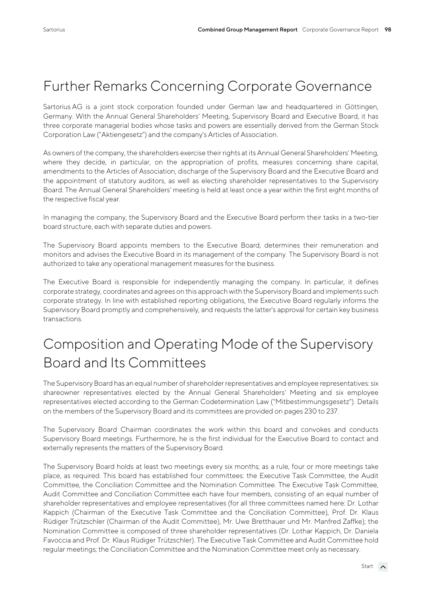## Further Remarks Concerning Corporate Governance

Sartorius AG is a joint stock corporation founded under German law and headquartered in Göttingen, Germany. With the Annual General Shareholders' Meeting, Supervisory Board and Executive Board, it has three corporate managerial bodies whose tasks and powers are essentially derived from the German Stock Corporation Law ("Aktiengesetz") and the company's Articles of Association.

As owners of the company, the shareholders exercise their rights at its Annual General Shareholders' Meeting, where they decide, in particular, on the appropriation of profits, measures concerning share capital, amendments to the Articles of Association, discharge of the Supervisory Board and the Executive Board and the appointment of statutory auditors, as well as electing shareholder representatives to the Supervisory Board. The Annual General Shareholders' meeting is held at least once a year within the first eight months of the respective fiscal year.

In managing the company, the Supervisory Board and the Executive Board perform their tasks in a two-tier board structure, each with separate duties and powers.

The Supervisory Board appoints members to the Executive Board, determines their remuneration and monitors and advises the Executive Board in its management of the company. The Supervisory Board is not authorized to take any operational management measures for the business.

The Executive Board is responsible for independently managing the company. In particular, it defines corporate strategy, coordinates and agrees on this approach with the Supervisory Board and implements such corporate strategy. In line with established reporting obligations, the Executive Board regularly informs the Supervisory Board promptly and comprehensively, and requests the latter's approval for certain key business transactions.

# Composition and Operating Mode of the Supervisory Board and Its Committees

The Supervisory Board has an equal number of shareholder representatives and employee representatives: six shareowner representatives elected by the Annual General Shareholders' Meeting and six employee representatives elected according to the German Codetermination Law ("Mitbestimmungsgesetz"). Details on the members of the Supervisory Board and its committees are provided on pages 230 to 237.

The Supervisory Board Chairman coordinates the work within this board and convokes and conducts Supervisory Board meetings. Furthermore, he is the first individual for the Executive Board to contact and externally represents the matters of the Supervisory Board.

The Supervisory Board holds at least two meetings every six months; as a rule, four or more meetings take place, as required. This board has established four committees: the Executive Task Committee, the Audit Committee, the Conciliation Committee and the Nomination Committee. The Executive Task Committee, Audit Committee and Conciliation Committee each have four members, consisting of an equal number of shareholder representatives and employee representatives (for all three committees named here: Dr. Lothar Kappich (Chairman of the Executive Task Committee and the Conciliation Committee), Prof. Dr. Klaus Rüdiger Trützschler (Chairman of the Audit Committee), Mr. Uwe Bretthauer und Mr. Manfred Zaffke); the Nomination Committee is composed of three shareholder representatives (Dr. Lothar Kappich, Dr. Daniela Favoccia and Prof. Dr. Klaus Rüdiger Trützschler). The Executive Task Committee and Audit Committee hold regular meetings; the Conciliation Committee and the Nomination Committee meet only as necessary.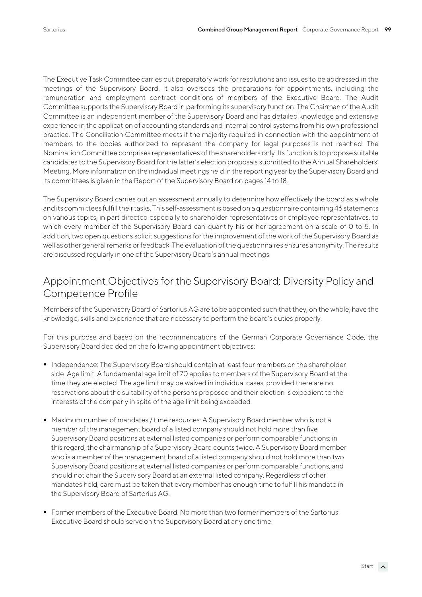The Executive Task Committee carries out preparatory work for resolutions and issues to be addressed in the meetings of the Supervisory Board. It also oversees the preparations for appointments, including the remuneration and employment contract conditions of members of the Executive Board. The Audit Committee supports the Supervisory Board in performing its supervisory function. The Chairman of the Audit Committee is an independent member of the Supervisory Board and has detailed knowledge and extensive experience in the application of accounting standards and internal control systems from his own professional practice. The Conciliation Committee meets if the majority required in connection with the appointment of members to the bodies authorized to represent the company for legal purposes is not reached. The Nomination Committee comprises representatives of the shareholders only. Its function is to propose suitable candidates to the Supervisory Board for the latter's election proposals submitted to the Annual Shareholders' Meeting. More information on the individual meetings held in the reporting year by the Supervisory Board and its committees is given in the Report of the Supervisory Board on pages 14 to 18.

The Supervisory Board carries out an assessment annually to determine how effectively the board as a whole and its committees fulfill their tasks. This self-assessment is based on a questionnaire containing 46 statements on various topics, in part directed especially to shareholder representatives or employee representatives, to which every member of the Supervisory Board can quantify his or her agreement on a scale of 0 to 5. In addition, two open questions solicit suggestions for the improvement of the work of the Supervisory Board as well as other general remarks or feedback. The evaluation of the questionnaires ensures anonymity. The results are discussed regularly in one of the Supervisory Board's annual meetings.

#### Appointment Objectives for the Supervisory Board; Diversity Policy and Competence Profile

Members of the Supervisory Board of Sartorius AG are to be appointed such that they, on the whole, have the knowledge, skills and experience that are necessary to perform the board's duties properly.

For this purpose and based on the recommendations of the German Corporate Governance Code, the Supervisory Board decided on the following appointment objectives:

- **Independence: The Supervisory Board should contain at least four members on the shareholder** side. Age limit: A fundamental age limit of 70 applies to members of the Supervisory Board at the time they are elected. The age limit may be waived in individual cases, provided there are no reservations about the suitability of the persons proposed and their election is expedient to the interests of the company in spite of the age limit being exceeded.
- Maximum number of mandates / time resources: A Supervisory Board member who is not a member of the management board of a listed company should not hold more than five Supervisory Board positions at external listed companies or perform comparable functions; in this regard, the chairmanship of a Supervisory Board counts twice. A Supervisory Board member who is a member of the management board of a listed company should not hold more than two Supervisory Board positions at external listed companies or perform comparable functions, and should not chair the Supervisory Board at an external listed company. Regardless of other mandates held, care must be taken that every member has enough time to fulfill his mandate in the Supervisory Board of Sartorius AG.
- Former members of the Executive Board: No more than two former members of the Sartorius Executive Board should serve on the Supervisory Board at any one time.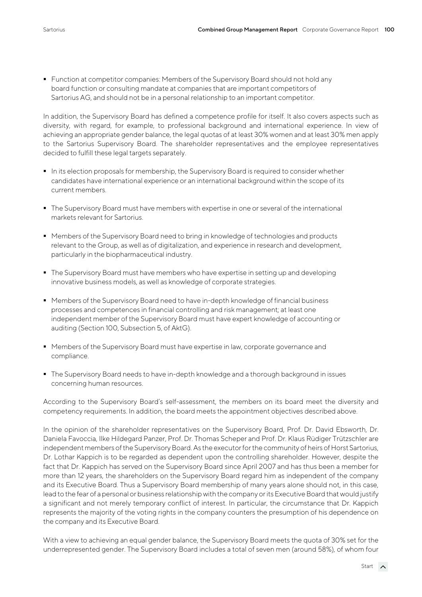**Function at competitor companies: Members of the Supervisory Board should not hold any** board function or consulting mandate at companies that are important competitors of Sartorius AG, and should not be in a personal relationship to an important competitor.

In addition, the Supervisory Board has defined a competence profile for itself. It also covers aspects such as diversity, with regard, for example, to professional background and international experience. In view of achieving an appropriate gender balance, the legal quotas of at least 30% women and at least 30% men apply to the Sartorius Supervisory Board. The shareholder representatives and the employee representatives decided to fulfill these legal targets separately.

- In its election proposals for membership, the Supervisory Board is required to consider whether candidates have international experience or an international background within the scope of its current members.
- The Supervisory Board must have members with expertise in one or several of the international markets relevant for Sartorius.
- Members of the Supervisory Board need to bring in knowledge of technologies and products relevant to the Group, as well as of digitalization, and experience in research and development, particularly in the biopharmaceutical industry.
- The Supervisory Board must have members who have expertise in setting up and developing innovative business models, as well as knowledge of corporate strategies.
- **Members of the Supervisory Board need to have in-depth knowledge of financial business** processes and competences in financial controlling and risk management; at least one independent member of the Supervisory Board must have expert knowledge of accounting or auditing (Section 100, Subsection 5, of AktG).
- Members of the Supervisory Board must have expertise in law, corporate governance and compliance.
- The Supervisory Board needs to have in-depth knowledge and a thorough background in issues concerning human resources.

According to the Supervisory Board's self-assessment, the members on its board meet the diversity and competency requirements. In addition, the board meets the appointment objectives described above.

In the opinion of the shareholder representatives on the Supervisory Board, Prof. Dr. David Ebsworth, Dr. Daniela Favoccia, Ilke Hildegard Panzer, Prof. Dr. Thomas Scheper and Prof. Dr. Klaus Rüdiger Trützschler are independent members of the Supervisory Board. As the executor for the community of heirs of Horst Sartorius, Dr. Lothar Kappich is to be regarded as dependent upon the controlling shareholder. However, despite the fact that Dr. Kappich has served on the Supervisory Board since April 2007 and has thus been a member for more than 12 years, the shareholders on the Supervisory Board regard him as independent of the company and its Executive Board. Thus a Supervisory Board membership of many years alone should not, in this case, lead to the fear of a personal or business relationship with the company or its Executive Board that would justify a significant and not merely temporary conflict of interest. In particular, the circumstance that Dr. Kappich represents the majority of the voting rights in the company counters the presumption of his dependence on the company and its Executive Board.

With a view to achieving an equal gender balance, the Supervisory Board meets the quota of 30% set for the underrepresented gender. The Supervisory Board includes a total of seven men (around 58%), of whom four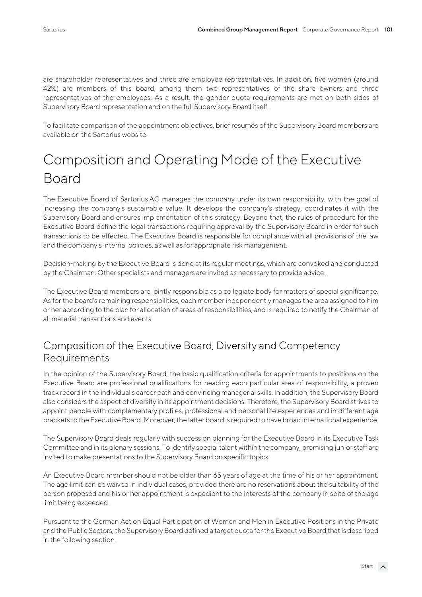are shareholder representatives and three are employee representatives. In addition, five women (around 42%) are members of this board, among them two representatives of the share owners and three representatives of the employees. As a result, the gender quota requirements are met on both sides of Supervisory Board representation and on the full Supervisory Board itself.

To facilitate comparison of the appointment objectives, brief resumés of the Supervisory Board members are available on the Sartorius website.

# Composition and Operating Mode of the Executive Board

The Executive Board of Sartorius AG manages the company under its own responsibility, with the goal of increasing the company's sustainable value. It develops the company's strategy, coordinates it with the Supervisory Board and ensures implementation of this strategy. Beyond that, the rules of procedure for the Executive Board define the legal transactions requiring approval by the Supervisory Board in order for such transactions to be effected. The Executive Board is responsible for compliance with all provisions of the law and the company's internal policies, as well as for appropriate risk management.

Decision-making by the Executive Board is done at its regular meetings, which are convoked and conducted by the Chairman. Other specialists and managers are invited as necessary to provide advice.

The Executive Board members are jointly responsible as a collegiate body for matters of special significance. As for the board's remaining responsibilities, each member independently manages the area assigned to him or her according to the plan for allocation of areas of responsibilities, and is required to notify the Chairman of all material transactions and events.

#### Composition of the Executive Board, Diversity and Competency Requirements

In the opinion of the Supervisory Board, the basic qualification criteria for appointments to positions on the Executive Board are professional qualifications for heading each particular area of responsibility, a proven track record in the individual's career path and convincing managerial skills. In addition, the Supervisory Board also considers the aspect of diversity in its appointment decisions. Therefore, the Supervisory Board strives to appoint people with complementary profiles, professional and personal life experiences and in different age brackets to the Executive Board. Moreover, the latter board is required to have broad international experience.

The Supervisory Board deals regularly with succession planning for the Executive Board in its Executive Task Committee and in its plenary sessions. To identify special talent within the company, promising junior staff are invited to make presentations to the Supervisory Board on specific topics.

An Executive Board member should not be older than 65 years of age at the time of his or her appointment. The age limit can be waived in individual cases, provided there are no reservations about the suitability of the person proposed and his or her appointment is expedient to the interests of the company in spite of the age limit being exceeded.

Pursuant to the German Act on Equal Participation of Women and Men in Executive Positions in the Private and the Public Sectors, the Supervisory Board defined a target quota for the Executive Board that is described in the following section.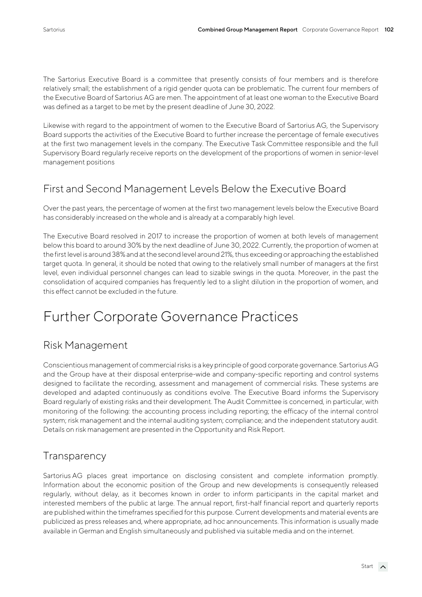The Sartorius Executive Board is a committee that presently consists of four members and is therefore relatively small; the establishment of a rigid gender quota can be problematic. The current four members of the Executive Board of Sartorius AG are men. The appointment of at least one woman to the Executive Board was defined as a target to be met by the present deadline of June 30, 2022.

Likewise with regard to the appointment of women to the Executive Board of Sartorius AG, the Supervisory Board supports the activities of the Executive Board to further increase the percentage of female executives at the first two management levels in the company. The Executive Task Committee responsible and the full Supervisory Board regularly receive reports on the development of the proportions of women in senior-level management positions

### First and Second Management Levels Below the Executive Board

Over the past years, the percentage of women at the first two management levels below the Executive Board has considerably increased on the whole and is already at a comparably high level.

The Executive Board resolved in 2017 to increase the proportion of women at both levels of management below this board to around 30% by the next deadline of June 30, 2022. Currently, the proportion of women at the first level is around 38% and at the second level around 21%, thus exceeding or approaching the established target quota. In general, it should be noted that owing to the relatively small number of managers at the first level, even individual personnel changes can lead to sizable swings in the quota. Moreover, in the past the consolidation of acquired companies has frequently led to a slight dilution in the proportion of women, and this effect cannot be excluded in the future.

# Further Corporate Governance Practices

### Risk Management

Conscientious management of commercial risks is a key principle of good corporate governance. Sartorius AG and the Group have at their disposal enterprise-wide and company-specific reporting and control systems designed to facilitate the recording, assessment and management of commercial risks. These systems are developed and adapted continuously as conditions evolve. The Executive Board informs the Supervisory Board regularly of existing risks and their development. The Audit Committee is concerned, in particular, with monitoring of the following: the accounting process including reporting; the efficacy of the internal control system; risk management and the internal auditing system; compliance; and the independent statutory audit. Details on risk management are presented in the Opportunity and Risk Report.

### **Transparency**

Sartorius AG places great importance on disclosing consistent and complete information promptly. Information about the economic position of the Group and new developments is consequently released regularly, without delay, as it becomes known in order to inform participants in the capital market and interested members of the public at large. The annual report, first-half financial report and quarterly reports are published within the timeframes specified for this purpose. Current developments and material events are publicized as press releases and, where appropriate, ad hoc announcements. This information is usually made available in German and English simultaneously and published via suitable media and on the internet.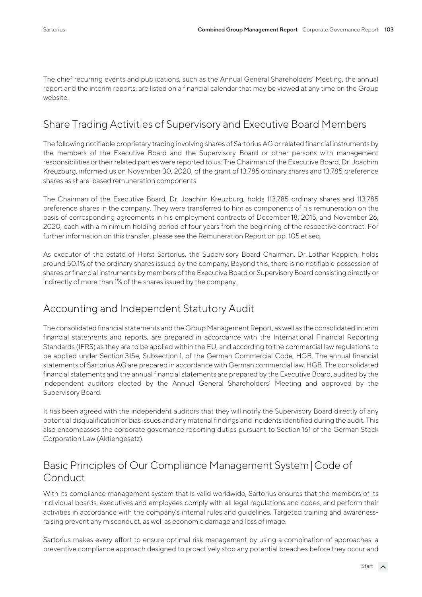The chief recurring events and publications, such as the Annual General Shareholders' Meeting, the annual report and the interim reports, are listed on a financial calendar that may be viewed at any time on the Group website.

#### Share Trading Activities of Supervisory and Executive Board Members

The following notifiable proprietary trading involving shares of Sartorius AG or related financial instruments by the members of the Executive Board and the Supervisory Board or other persons with management responsibilities or their related parties were reported to us: The Chairman of the Executive Board, Dr. Joachim Kreuzburg, informed us on November 30, 2020, of the grant of 13,785 ordinary shares and 13,785 preference shares as share-based remuneration components.

The Chairman of the Executive Board, Dr. Joachim Kreuzburg, holds 113,785 ordinary shares and 113,785 preference shares in the company. They were transferred to him as components of his remuneration on the basis of corresponding agreements in his employment contracts of December 18, 2015, and November 26, 2020, each with a minimum holding period of four years from the beginning of the respective contract. For further information on this transfer, please see the Remuneration Report on pp. 105 et seq.

As executor of the estate of Horst Sartorius, the Supervisory Board Chairman, Dr. Lothar Kappich, holds around 50.1% of the ordinary shares issued by the company. Beyond this, there is no notifiable possession of shares or financial instruments by members of the Executive Board or Supervisory Board consisting directly or indirectly of more than 1% of the shares issued by the company.

#### Accounting and Independent Statutory Audit

The consolidated financial statements and the Group Management Report, as well as the consolidated interim financial statements and reports, are prepared in accordance with the International Financial Reporting Standards (IFRS) as they are to be applied within the EU, and according to the commercial law regulations to be applied under Section 315e, Subsection 1, of the German Commercial Code, HGB. The annual financial statements of Sartorius AG are prepared in accordance with German commercial law, HGB. The consolidated financial statements and the annual financial statements are prepared by the Executive Board, audited by the independent auditors elected by the Annual General Shareholders' Meeting and approved by the Supervisory Board.

It has been agreed with the independent auditors that they will notify the Supervisory Board directly of any potential disqualification or bias issues and any material findings and incidents identified during the audit. This also encompasses the corporate governance reporting duties pursuant to Section 161 of the German Stock Corporation Law (Aktiengesetz).

### Basic Principles of Our Compliance Management System |Code of Conduct

With its compliance management system that is valid worldwide, Sartorius ensures that the members of its individual boards, executives and employees comply with all legal regulations and codes, and perform their activities in accordance with the company's internal rules and guidelines. Targeted training and awarenessraising prevent any misconduct, as well as economic damage and loss of image.

Sartorius makes every effort to ensure optimal risk management by using a combination of approaches: a preventive compliance approach designed to proactively stop any potential breaches before they occur and

Start <br/>  $\overline{\phantom{a}}$